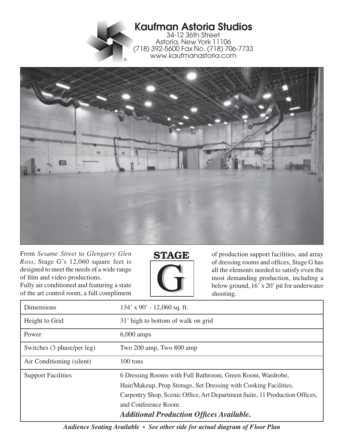



From *Sesame Street* to *Glengarry Glen Ross*, Stage G's 12,060 square feet is designed to meet the needs of a wide range of film and video productions. Fully air conditioned and featuring a state of the art control room, a full compliment



of production support facilities, and array of dressing rooms and offices, Stage G has all the elements needed to satisfy even the most demanding production, including a below ground, 16' x 20' pit for underwater shooting.

| Dimensions                 | $134'$ x 90' - 12,060 sq. ft.                                                                                                                                                                                                                                                            |
|----------------------------|------------------------------------------------------------------------------------------------------------------------------------------------------------------------------------------------------------------------------------------------------------------------------------------|
| Height to Grid             | 31' high to bottom of walk on grid                                                                                                                                                                                                                                                       |
| Power                      | $6,000$ amps                                                                                                                                                                                                                                                                             |
| Switches (3 phase/per leg) | Two 200 amp, Two 800 amp                                                                                                                                                                                                                                                                 |
| Air Conditioning (silent)  | 100 tons                                                                                                                                                                                                                                                                                 |
| <b>Support Facilities</b>  | 6 Dressing Rooms with Full Bathroom, Green Room, Wardrobe,<br>Hair/Makeup, Prop Storage, Set Dressing with Cooking Facilities,<br>Carpentry Shop, Scenic Office, Art Department Suite, 11 Production Offices,<br>and Conference Room.<br><b>Additional Production Offices Available.</b> |

*Audience Seating Available • See other side for actual diagram of Floor Plan*